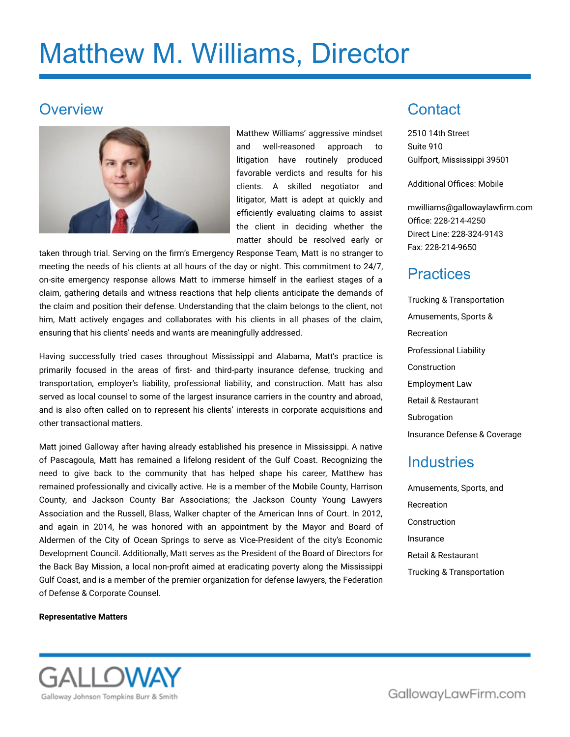# Matthew M. Williams, Director

### **Overview**



Matthew Williams' aggressive mindset and well-reasoned approach to litigation have routinely produced favorable verdicts and results for his clients. A skilled negotiator and litigator, Matt is adept at quickly and efficiently evaluating claims to assist the client in deciding whether the matter should be resolved early or

taken through trial. Serving on the firm's Emergency Response Team, Matt is no stranger to meeting the needs of his clients at all hours of the day or night. This commitment to 24/7, on-site emergency response allows Matt to immerse himself in the earliest stages of a claim, gathering details and witness reactions that help clients anticipate the demands of the claim and position their defense. Understanding that the claim belongs to the client, not him, Matt actively engages and collaborates with his clients in all phases of the claim, ensuring that his clients' needs and wants are meaningfully addressed.

Having successfully tried cases throughout Mississippi and Alabama, Matt's practice is primarily focused in the areas of first- and third-party insurance defense, trucking and transportation, employer's liability, professional liability, and construction. Matt has also served as local counsel to some of the largest insurance carriers in the country and abroad, and is also often called on to represent his clients' interests in corporate acquisitions and other transactional matters.

Matt joined Galloway after having already established his presence in Mississippi. A native of Pascagoula, Matt has remained a lifelong resident of the Gulf Coast. Recognizing the need to give back to the community that has helped shape his career, Matthew has remained professionally and civically active. He is a member of the Mobile County, Harrison County, and Jackson County Bar Associations; the Jackson County Young Lawyers Association and the Russell, Blass, Walker chapter of the American Inns of Court. In 2012, and again in 2014, he was honored with an appointment by the Mayor and Board of Aldermen of the City of Ocean Springs to serve as Vice-President of the city's Economic Development Council. Additionally, Matt serves as the President of the Board of Directors for the Back Bay Mission, a local non-profit aimed at eradicating poverty along the Mississippi Gulf Coast, and is a member of the premier organization for defense lawyers, the Federation of Defense & Corporate Counsel.

#### **Representative Matters**



Trucking & Transportation Amusements, Sports & Recreation Professional Liability Construction Employment Law Retail & Restaurant Subrogation Insurance Defense & Coverage

#### Industries

**Contact** 

2510 14th Street

Gulfport, Mississippi 39501

Additional Offices: Mobile

Office: 228-214-4250 Direct Line: 228-324-9143

Fax: 228-214-9650

**Practices** 

[mwilliams@gallowaylawfirm.com](mailto:mwilliams@gallowaylawfirm.com)

Suite 910

Amusements, Sports, and Recreation Construction Insurance Retail & Restaurant Trucking & Transportation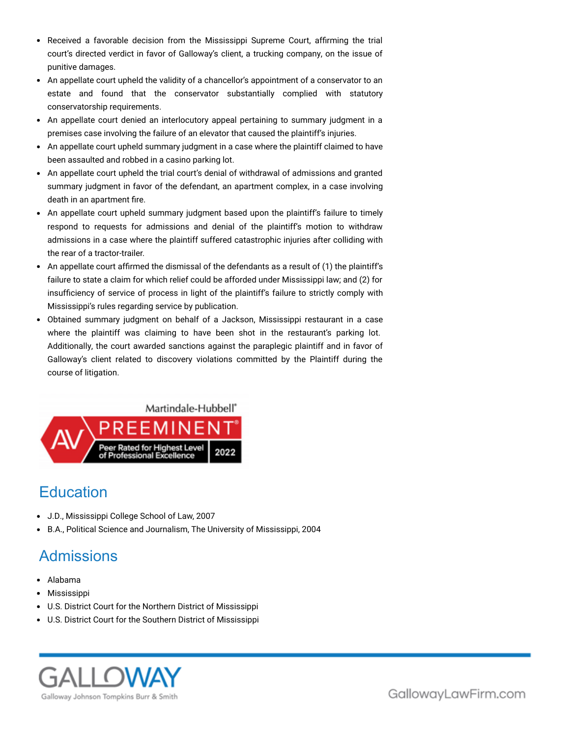- Received a favorable decision from the Mississippi Supreme Court, affirming the trial court's directed verdict in favor of Galloway's client, a trucking company, on the issue of punitive damages.
- An appellate court upheld the validity of a chancellor's appointment of a conservator to an estate and found that the conservator substantially complied with statutory conservatorship requirements.
- An appellate court denied an interlocutory appeal pertaining to summary judgment in a premises case involving the failure of an elevator that caused the plaintiff's injuries.
- An appellate court upheld summary judgment in a case where the plaintiff claimed to have been assaulted and robbed in a casino parking lot.
- An appellate court upheld the trial court's denial of withdrawal of admissions and granted summary judgment in favor of the defendant, an apartment complex, in a case involving death in an apartment fire.
- An appellate court upheld summary judgment based upon the plaintiff's failure to timely respond to requests for admissions and denial of the plaintiff's motion to withdraw admissions in a case where the plaintiff suffered catastrophic injuries after colliding with the rear of a tractor-trailer.
- An appellate court affirmed the dismissal of the defendants as a result of (1) the plaintiff's failure to state a claim for which relief could be afforded under Mississippi law; and (2) for insufficiency of service of process in light of the plaintiff's failure to strictly comply with Mississippi's rules regarding service by publication.
- Obtained summary judgment on behalf of a Jackson, Mississippi restaurant in a case where the plaintiff was claiming to have been shot in the restaurant's parking lot. Additionally, the court awarded sanctions against the paraplegic plaintiff and in favor of Galloway's client related to discovery violations committed by the Plaintiff during the course of litigation.



# **Education**

- J.D., Mississippi College School of Law, 2007
- B.A., Political Science and Journalism, The University of Mississippi, 2004

# Admissions

- Alabama
- Mississippi
- U.S. District Court for the Northern District of Mississippi
- U.S. District Court for the Southern District of Mississippi



GallowayLawFirm.com